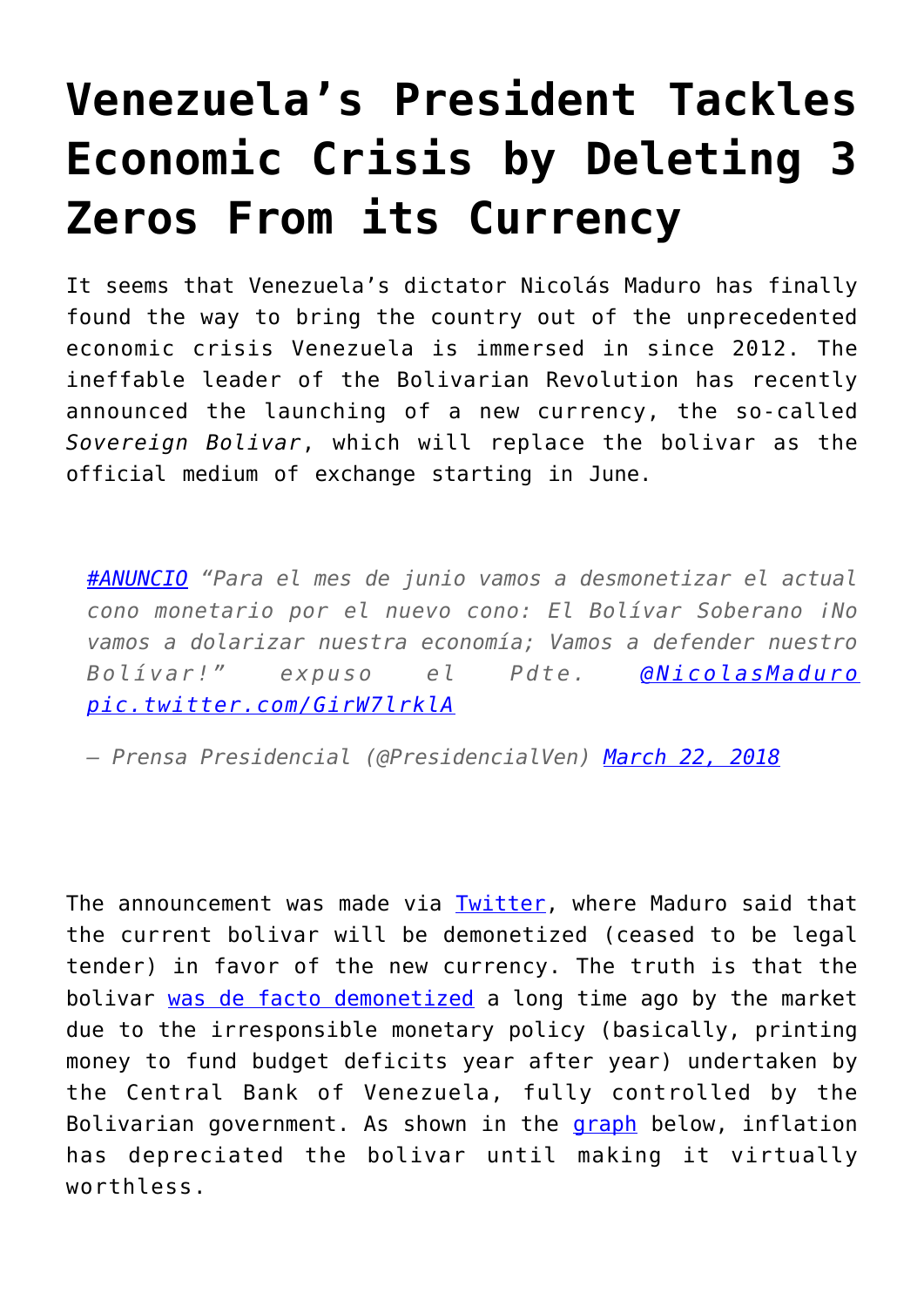## **[Venezuela's President Tackles](https://intellectualtakeout.org/2018/04/venezuelas-president-tackles-economic-crisis-by-deleting-3-zeros-from-its-currency/) [Economic Crisis by Deleting 3](https://intellectualtakeout.org/2018/04/venezuelas-president-tackles-economic-crisis-by-deleting-3-zeros-from-its-currency/) [Zeros From its Currency](https://intellectualtakeout.org/2018/04/venezuelas-president-tackles-economic-crisis-by-deleting-3-zeros-from-its-currency/)**

It seems that Venezuela's dictator Nicolás Maduro has finally found the way to bring the country out of the unprecedented economic crisis Venezuela is immersed in since 2012. The ineffable leader of the Bolivarian Revolution has recently announced the launching of a new currency, the so-called *Sovereign Bolivar*, which will replace the bolivar as the official medium of exchange starting in June.

*[#ANUNCIO](https://twitter.com/hashtag/ANUNCIO?src=hash&ref_src=twsrc%5Etfw) "Para el mes de junio vamos a desmonetizar el actual cono monetario por el nuevo cono: El Bolívar Soberano ¡No vamos a dolarizar nuestra economía; Vamos a defender nuestro Bolívar!" expuso el Pdte. [@NicolasMaduro](https://twitter.com/NicolasMaduro?ref_src=twsrc%5Etfw) [pic.twitter.com/GirW7lrklA](https://t.co/GirW7lrklA)*

*— Prensa Presidencial (@PresidencialVen) [March 22, 2018](https://twitter.com/PresidencialVen/status/976959141494353921?ref_src=twsrc%5Etfw)*

The announcement was made via [Twitter,](https://twitter.com/PresidencialVen/status/976959141494353921/photo/1) where Maduro said that the current bolivar will be demonetized (ceased to be legal tender) in favor of the new currency. The truth is that the bolivar [was de facto demonetized](https://panampost.com/helena-ball/2018/03/04/venezuela-only-one-way-fix-worlds-most-miserable-country-hyperinflation/) a long time ago by the market due to the irresponsible monetary policy (basically, printing money to fund budget deficits year after year) undertaken by the Central Bank of Venezuela, fully controlled by the Bolivarian government. As shown in the [graph](https://www.bloomberg.com/view/articles/2017-12-19/venezuela-is-living-a-hyperinflation-nightmare) below, inflation has depreciated the bolivar until making it virtually worthless.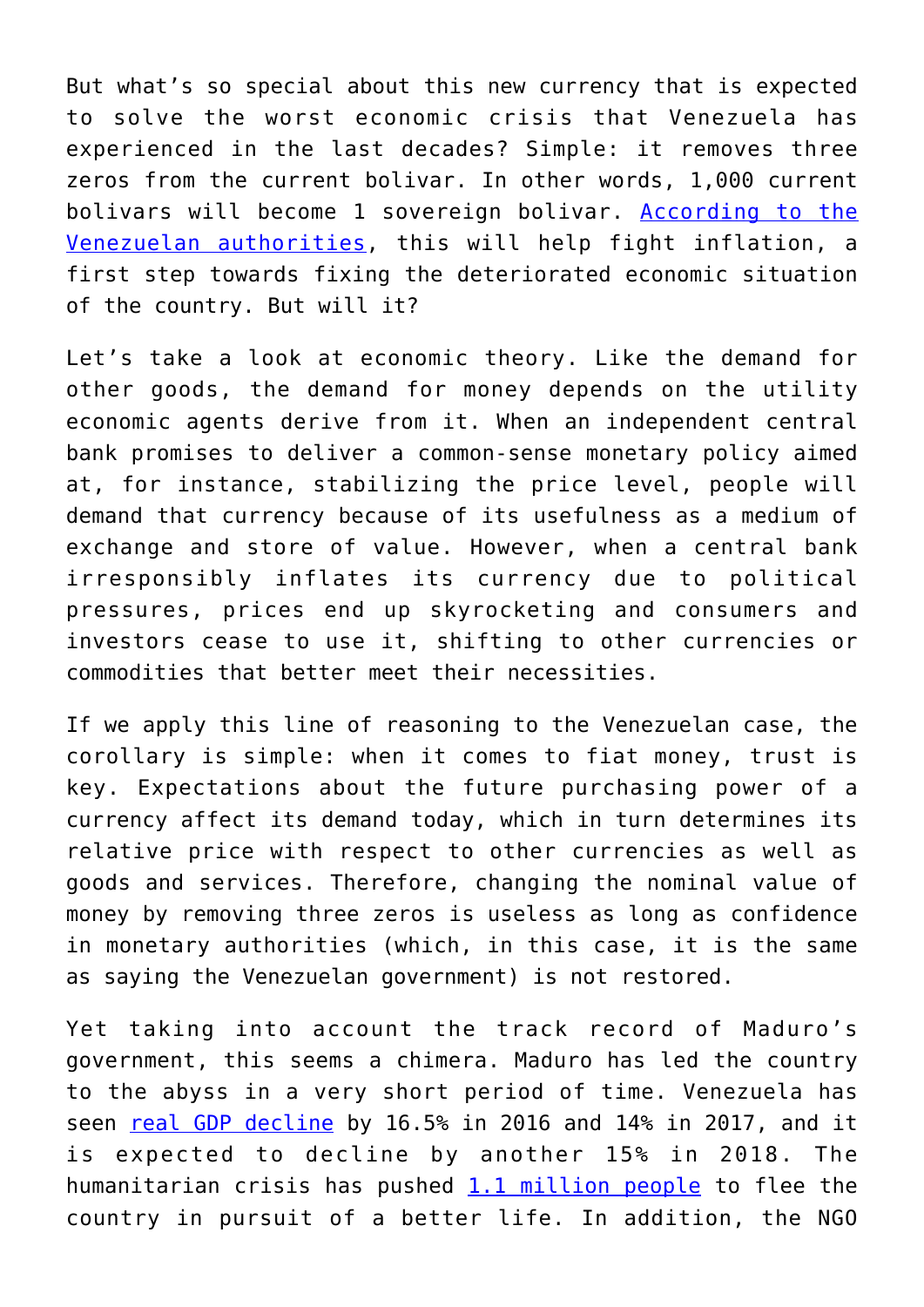But what's so special about this new currency that is expected to solve the worst economic crisis that Venezuela has experienced in the last decades? Simple: it removes three zeros from the current bolivar. In other words, 1,000 current bolivars will become 1 sovereign bolivar. [According to the](http://www.eluniversal.com.mx/mundo/maduro-anuncia-reforma-monetaria-en-venezuela-quitara-tres-ceros-al-bolivar) [Venezuelan authorities](http://www.eluniversal.com.mx/mundo/maduro-anuncia-reforma-monetaria-en-venezuela-quitara-tres-ceros-al-bolivar), this will help fight inflation, a first step towards fixing the deteriorated economic situation of the country. But will it?

Let's take a look at economic theory. Like the demand for other goods, the demand for money depends on the utility economic agents derive from it. When an independent central bank promises to deliver a common-sense monetary policy aimed at, for instance, stabilizing the price level, people will demand that currency because of its usefulness as a medium of exchange and store of value. However, when a central bank irresponsibly inflates its currency due to political pressures, prices end up skyrocketing and consumers and investors cease to use it, shifting to other currencies or commodities that better meet their necessities.

If we apply this line of reasoning to the Venezuelan case, the corollary is simple: when it comes to fiat money, trust is key. Expectations about the future purchasing power of a currency affect its demand today, which in turn determines its relative price with respect to other currencies as well as goods and services. Therefore, changing the nominal value of money by removing three zeros is useless as long as confidence in monetary authorities (which, in this case, it is the same as saying the Venezuelan government) is not restored.

Yet taking into account the track record of Maduro's government, this seems a chimera. Maduro has led the country to the abyss in a very short period of time. Venezuela has seen [real GDP decline](https://blogs.imf.org/2018/01/25/latin-america-and-the-caribbean-in-2018-an-economic-recovery-in-the-making/) by 16.5% in 2016 and 14% in 2017, and it is expected to decline by another 15% in 2018. The humanitarian crisis has pushed  $1.1$  million people to flee the country in pursuit of a better life. In addition, the NGO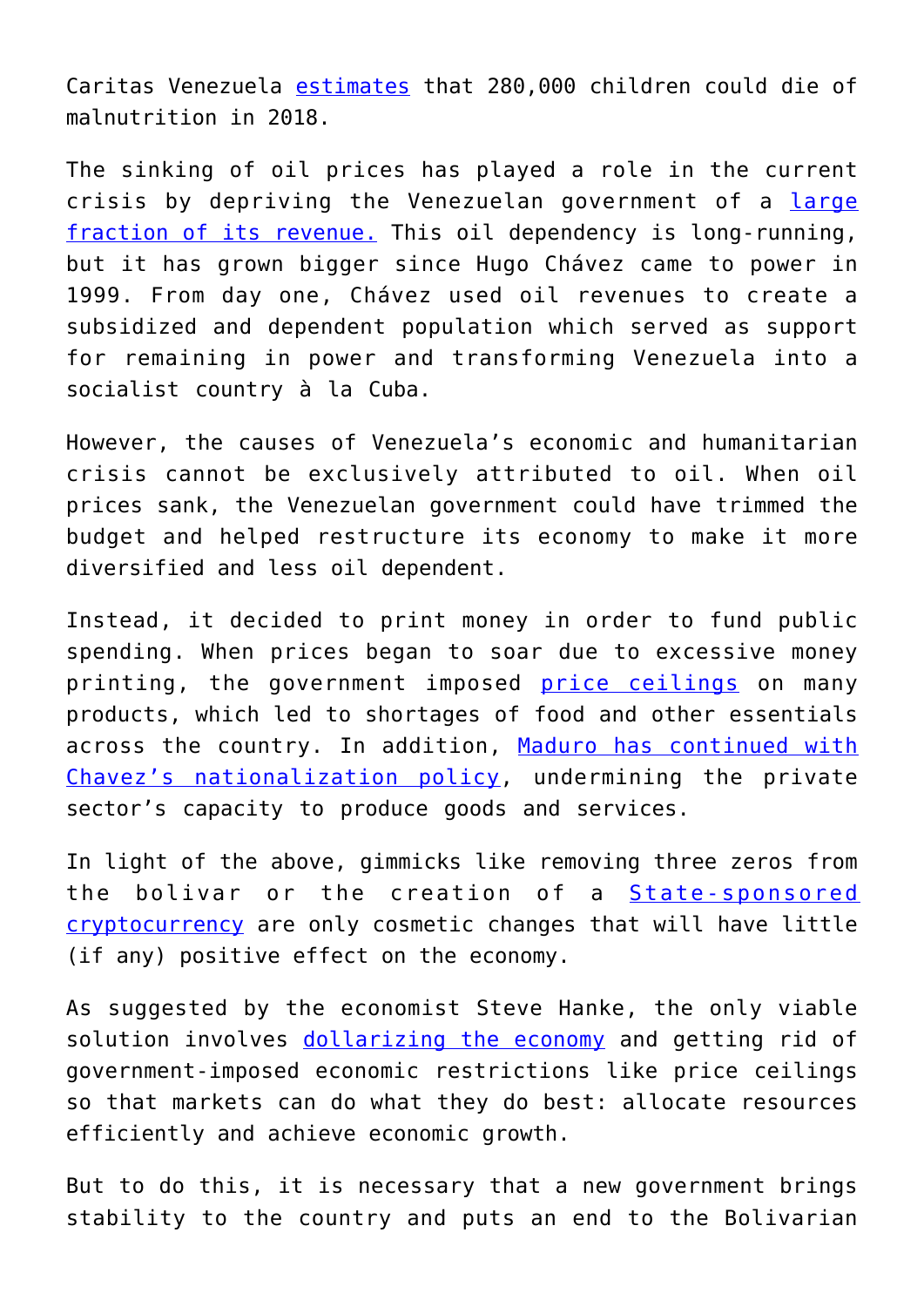Caritas Venezuela [estimates](https://www.elespectador.com/noticias/el-mundo/en-el-2018-podrian-morir-280000-ninos-en-venezuela-por-desnutricion-articulo-734337) that 280,000 children could die of malnutrition in 2018.

The sinking of oil prices has played a role in the current crisis by depriving the Venezuelan government of a [large](https://resourcegovernance.org/sites/default/files/Venezuela_Final.pdf) [fraction of its revenue.](https://resourcegovernance.org/sites/default/files/Venezuela_Final.pdf) This oil dependency is long-running, but it has grown bigger since Hugo Chávez came to power in 1999. From day one, Chávez used oil revenues to create a subsidized and dependent population which served as support for remaining in power and transforming Venezuela into a socialist country à la Cuba.

However, the causes of Venezuela's economic and humanitarian crisis cannot be exclusively attributed to oil. When oil prices sank, the Venezuelan government could have trimmed the budget and helped restructure its economy to make it more diversified and less oil dependent.

Instead, it decided to print money in order to fund public spending. When prices began to soar due to excessive money printing, the government imposed [price ceilings](https://www.theguardian.com/global-development-professionals-network/2015/apr/16/venezuela-economy-black-market-milk-and-toilet-paper) on many products, which led to shortages of food and other essentials across the country. In addition, [Maduro has continued with](https://www.nationalreview.com/corner/venezuela-protests-maduro-gm-nationalization-deepening-economic-crisis/) [Chavez's nationalization policy](https://www.nationalreview.com/corner/venezuela-protests-maduro-gm-nationalization-deepening-economic-crisis/), undermining the private sector's capacity to produce goods and services.

In light of the above, gimmicks like removing three zeros from the bolivar or the creation of a **[State-sponsored](https://www.alt-m.org/2018/03/23/venezuelas-petro-fools-oil/)** [cryptocurrency](https://www.alt-m.org/2018/03/23/venezuelas-petro-fools-oil/) are only cosmetic changes that will have little (if any) positive effect on the economy.

As suggested by the economist Steve Hanke, the only viable solution involves [dollarizing the economy](https://panampost.com/helena-ball/2018/03/04/venezuela-only-one-way-fix-worlds-most-miserable-country-hyperinflation/) and getting rid of government-imposed economic restrictions like price ceilings so that markets can do what they do best: allocate resources efficiently and achieve economic growth.

But to do this, it is necessary that a new government brings stability to the country and puts an end to the Bolivarian